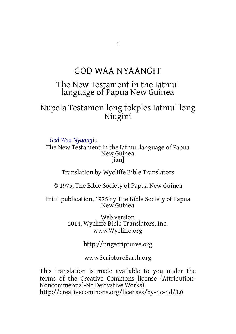# GOD WAA NYAANGƗT

## The New Testament in the Iatmul language of Papua New Guinea

Nupela Testamen long tokples Iatmul long Niugini

*God Waa Nyaang*ɨt

The New Testament in the Iatmul language of Papua New Guinea [ian]

Translation by Wycliffe Bible Translators

© 1975, The Bible Society of Papua New Guinea

Print publication, 1975 by The Bible Society of Papua New Guinea

> Web version 2014, Wycliffe Bible Translators, Inc. www.Wycliffe.org

> > http://pngscriptures.org

www.ScriptureEarth.org

This translation is made available to you under the terms of the Creative Commons license (Attribution-Noncommercial-No Derivative Works). http://creativecommons.org/licenses/by-nc-nd/3.0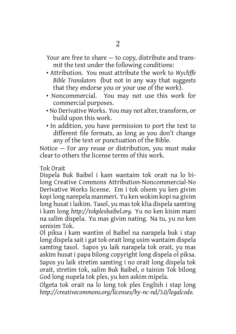Your are free to share — to copy, distribute and transmit the text under the following conditions:

- Attribution. You must attribute the work to *Wycliffe Bible Translators* (but not in any way that suggests that they endorse you or your use of the work).
- Noncommercial. You may not use this work for commercial purposes.
- No Derivative Works. You may not alter, transform, or build upon this work.
- In addition, you have permission to port the text to different file formats, as long as you don't change any of the text or punctuation of the Bible.

Notice — For any reuse or distribution, you must make clear to others the license terms of this work.

Tok Orait

Dispela Buk Baibel i kam wantaim tok orait na lo bilong Creative Commons Attribution-Noncommercial-No Derivative Works license. Em i tok olsem yu ken givim kopi long narepela manmeri. Yu ken wokim kopi na givim long husat i laikim. Tasol, yu mas tok klia dispela samting i kam long *http://tokplesbaibel.org.* Yu no ken kisim mani na salim dispela. Yu mas givim nating. Na tu, yu no ken senisim Tok.

Ol piksa i kam wantim ol Baibel na narapela buk i stap long dispela sait i gat tok orait long usim wantaim dispela samting tasol. Sapos yu laik narapela tok orait, yu mas askim husat i papa bilong copyright long dispela ol piksa. Sapos yu laik stretim samting i no orait long dispela tok orait, stretim tok, salim Buk Baibel, o tainim Tok bilong God long nupela tok ples, yu ken askim mipela.

Olgeta tok orait na lo long tok ples English i stap long *http://creativecommons.org/licenses/by-nc-nd/3.0/legalcode.*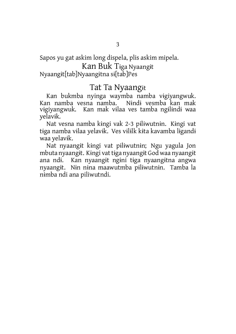Sapos yu gat askim long dispela, plis askim mipela.

### Kan Buk Tɨga Nyaangɨt

Nyaangɨt[tab]Nyaangɨtna sɨ[tab]Pes

#### Tat Ta Nyaangɨt

Kan bukmba nyinga waymba namba vɨgiyangwuk. Kan namba vesna namba. Nɨndɨ vesmba kan mak vɨgiyangwuk. Kan mak vɨlaa ves tamba ngɨlɨndɨ waa yelavɨk.

Nat vesna namba kɨngi vak 2-3 pɨlɨwutnɨn. Kɨngi vat tɨga namba vɨlaa yelavɨk. Ves vɨlɨlk kɨta kavamba lɨgandɨ waa yelavɨk.

Nat nyaangɨt kɨngi vat pɨlɨwutnɨn; Ngu yagula Jon mbuta nyaangɨt. Kɨngi vattɨga nyaangɨt God waa nyaangɨt ana ndɨ. Kan nyaangɨt ngɨni tɨga nyaangɨtna angwa nyaangɨt. Nɨn nɨna maawutmba pɨlɨwutnɨn. Tamba la nɨmba ndi ana piliwutndi.